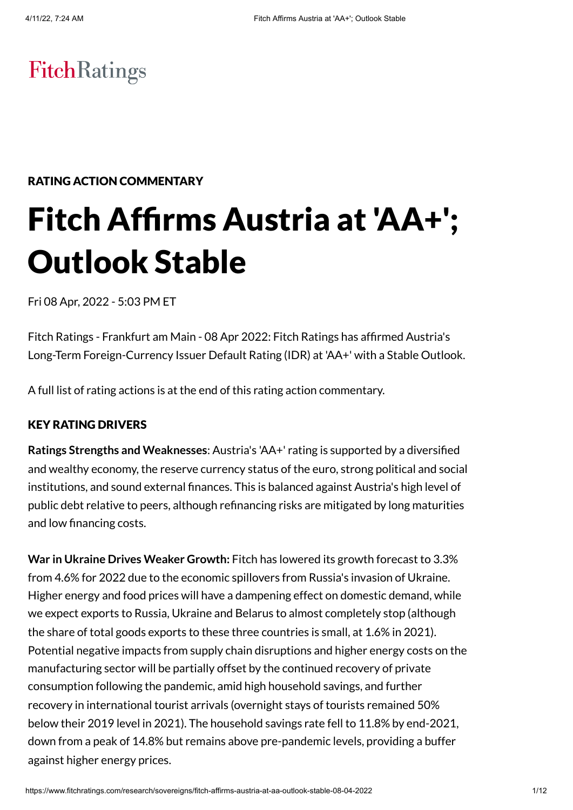# **FitchRatings**

# RATING ACTION COMMENTARY

# Fitch Affirms Austria at 'AA+'; Outlook Stable

Fri 08 Apr, 2022 - 5:03 PM ET

Fitch Ratings - Frankfurt am Main - 08 Apr 2022: Fitch Ratings has affirmed Austria's Long-Term Foreign-Currency Issuer Default Rating (IDR) at 'AA+' with a Stable Outlook.

A full list of rating actions is at the end of this rating action commentary.

# KEY RATING DRIVERS

**Ratings Strengths and Weaknesses**: Austria's 'AA+' rating is supported by a diversified and wealthy economy, the reserve currency status of the euro, strong political and social institutions, and sound external finances. This is balanced against Austria's high level of public debt relative to peers, although refinancing risks are mitigated by long maturities and low financing costs.

**War in Ukraine Drives Weaker Growth:** Fitch has lowered its growth forecast to 3.3% from 4.6% for 2022 due to the economic spillovers from Russia's invasion of Ukraine. Higher energy and food prices will have a dampening effect on domestic demand, while we expect exports to Russia, Ukraine and Belarus to almost completely stop (although the share of total goods exports to these three countries is small, at 1.6% in 2021). Potential negative impacts from supply chain disruptions and higher energy costs on the manufacturing sector will be partially offset by the continued recovery of private consumption following the pandemic, amid high household savings, and further recovery in international tourist arrivals (overnight stays of tourists remained 50% below their 2019 level in 2021). The household savings rate fell to 11.8% by end-2021, down from a peak of 14.8% but remains above pre-pandemic levels, providing a buffer against higher energy prices.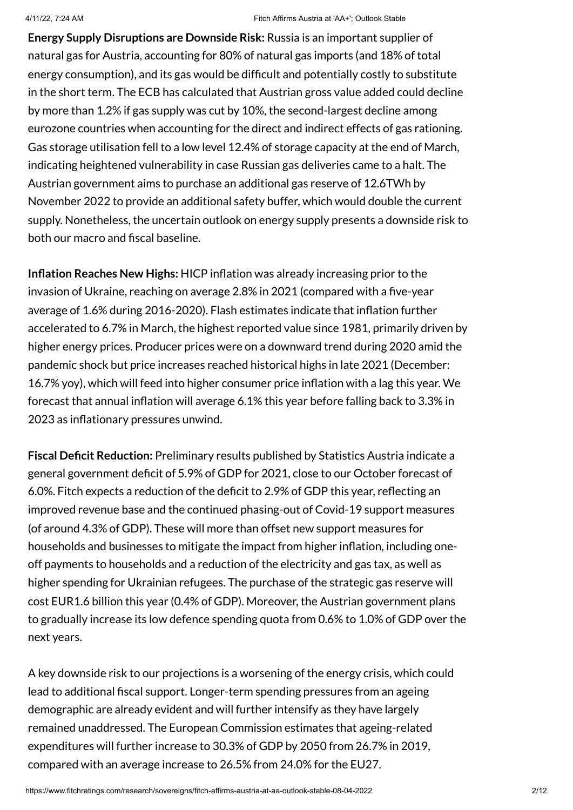**Energy Supply Disruptions are Downside Risk:** Russia is an important supplier of natural gas for Austria, accounting for 80% of natural gas imports (and 18% of total energy consumption), and its gas would be difficult and potentially costly to substitute in the short term. The ECB has calculated that Austrian gross value added could decline by more than 1.2% if gas supply was cut by 10%, the second-largest decline among eurozone countries when accounting for the direct and indirect effects of gas rationing. Gas storage utilisation fell to a low level 12.4% of storage capacity at the end of March, indicating heightened vulnerability in case Russian gas deliveries came to a halt. The Austrian government aims to purchase an additional gas reserve of 12.6TWh by November 2022 to provide an additional safety buffer, which would double the current supply. Nonetheless, the uncertain outlook on energy supply presents a downside risk to both our macro and fiscal baseline.

**Inflation Reaches New Highs:** HICP inflation was already increasing prior to the invasion of Ukraine, reaching on average 2.8% in 2021 (compared with a five-year average of 1.6% during 2016-2020). Flash estimates indicate that inflation further accelerated to 6.7% in March, the highest reported value since 1981, primarily driven by higher energy prices. Producer prices were on a downward trend during 2020 amid the pandemic shock but price increases reached historical highs in late 2021 (December: 16.7% yoy), which will feed into higher consumer price inflation with a lag this year. We forecast that annual inflation will average 6.1% this year before falling back to 3.3% in 2023 as inflationary pressures unwind.

**Fiscal Deficit Reduction:** Preliminary results published by Statistics Austria indicate a general government deficit of 5.9% of GDP for 2021, close to our October forecast of 6.0%. Fitch expects a reduction of the deficit to 2.9% of GDP this year, reflecting an improved revenue base and the continued phasing-out of Covid-19 support measures (of around 4.3% of GDP). These will more than offset new support measures for households and businesses to mitigate the impact from higher inflation, including oneoff payments to households and a reduction of the electricity and gas tax, as well as higher spending for Ukrainian refugees. The purchase of the strategic gas reserve will cost EUR1.6 billion this year (0.4% of GDP). Moreover, the Austrian government plans to gradually increase its low defence spending quota from 0.6% to 1.0% of GDP over the next years.

A key downside risk to our projections is a worsening of the energy crisis, which could lead to additional fiscal support. Longer-term spending pressures from an ageing demographic are already evident and will further intensify as they have largely remained unaddressed. The European Commission estimates that ageing-related expenditures will further increase to 30.3% of GDP by 2050 from 26.7% in 2019, compared with an average increase to 26.5% from 24.0% for the EU27.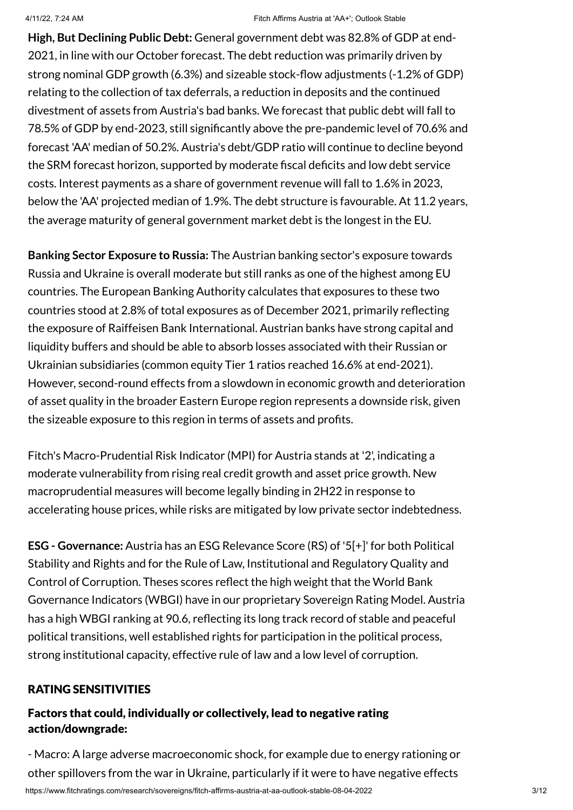**High, But Declining Public Debt:** General government debt was 82.8% of GDP at end-2021, in line with our October forecast. The debt reduction was primarily driven by strong nominal GDP growth (6.3%) and sizeable stock-flow adjustments (-1.2% of GDP) relating to the collection of tax deferrals, a reduction in deposits and the continued divestment of assets from Austria's bad banks. We forecast that public debt will fall to 78.5% of GDP by end-2023, still significantly above the pre-pandemic level of 70.6% and forecast 'AA' median of 50.2%. Austria's debt/GDP ratio will continue to decline beyond the SRM forecast horizon, supported by moderate fiscal deficits and low debt service costs. Interest payments as a share of government revenue will fall to 1.6% in 2023, below the 'AA' projected median of 1.9%. The debt structure is favourable. At 11.2 years, the average maturity of general government market debt is the longest in the EU.

**Banking Sector Exposure to Russia:** The Austrian banking sector's exposure towards Russia and Ukraine is overall moderate but still ranks as one of the highest among EU countries. The European Banking Authority calculates that exposures to these two countries stood at 2.8% of total exposures as of December 2021, primarily reflecting the exposure of Raiffeisen Bank International. Austrian banks have strong capital and liquidity buffers and should be able to absorb losses associated with their Russian or Ukrainian subsidiaries (common equity Tier 1 ratios reached 16.6% at end-2021). However, second-round effects from a slowdown in economic growth and deterioration of asset quality in the broader Eastern Europe region represents a downside risk, given the sizeable exposure to this region in terms of assets and profits.

Fitch's Macro-Prudential Risk Indicator (MPI) for Austria stands at '2', indicating a moderate vulnerability from rising real credit growth and asset price growth. New macroprudential measures will become legally binding in 2H22 in response to accelerating house prices, while risks are mitigated by low private sector indebtedness.

**ESG - Governance:** Austria has an ESG Relevance Score (RS) of '5[+]' for both Political Stability and Rights and for the Rule of Law, Institutional and Regulatory Quality and Control of Corruption. Theses scores reflect the high weight that the World Bank Governance Indicators (WBGI) have in our proprietary Sovereign Rating Model. Austria has a high WBGI ranking at 90.6, reflecting its long track record of stable and peaceful political transitions, well established rights for participation in the political process, strong institutional capacity, effective rule of law and a low level of corruption.

# RATING SENSITIVITIES

# Factors that could, individually or collectively, lead to negative rating action/downgrade:

https://www.fitchratings.com/research/sovereigns/fitch-affirms-austria-at-aa-outlook-stable-08-04-2022 3/12 - Macro: A large adverse macroeconomic shock, for example due to energy rationing or other spillovers from the war in Ukraine, particularly if it were to have negative effects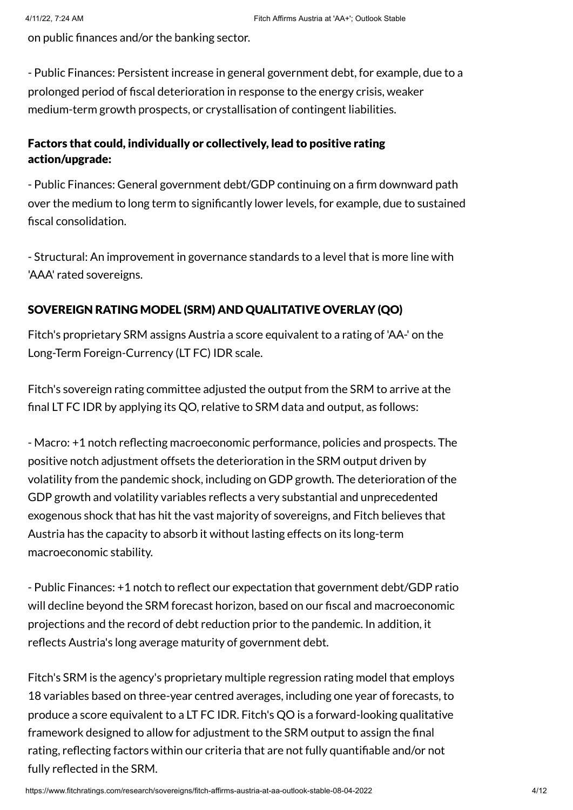on public finances and/or the banking sector.

- Public Finances: Persistent increase in general government debt, for example, due to a prolonged period of fiscal deterioration in response to the energy crisis, weaker medium-term growth prospects, or crystallisation of contingent liabilities.

# Factors that could, individually or collectively, lead to positive rating action/upgrade:

- Public Finances: General government debt/GDP continuing on a firm downward path over the medium to long term to significantly lower levels, for example, due to sustained fiscal consolidation.

- Structural: An improvement in governance standards to a level that is more line with 'AAA' rated sovereigns.

# SOVEREIGN RATING MODEL (SRM) AND QUALITATIVE OVERLAY (QO)

Fitch's proprietary SRM assigns Austria a score equivalent to a rating of 'AA-' on the Long-Term Foreign-Currency (LT FC) IDR scale.

Fitch's sovereign rating committee adjusted the output from the SRM to arrive at the final LT FC IDR by applying its QO, relative to SRM data and output, as follows:

- Macro: +1 notch reflecting macroeconomic performance, policies and prospects. The positive notch adjustment offsets the deterioration in the SRM output driven by volatility from the pandemic shock, including on GDP growth. The deterioration of the GDP growth and volatility variables reflects a very substantial and unprecedented exogenous shock that has hit the vast majority of sovereigns, and Fitch believes that Austria has the capacity to absorb it without lasting effects on its long-term macroeconomic stability.

- Public Finances: +1 notch to reflect our expectation that government debt/GDP ratio will decline beyond the SRM forecast horizon, based on our fiscal and macroeconomic projections and the record of debt reduction prior to the pandemic. In addition, it reflects Austria's long average maturity of government debt.

Fitch's SRM is the agency's proprietary multiple regression rating model that employs 18 variables based on three-year centred averages, including one year of forecasts, to produce a score equivalent to a LT FC IDR. Fitch's QO is a forward-looking qualitative framework designed to allow for adjustment to the SRM output to assign the final rating, reflecting factors within our criteria that are not fully quantifiable and/or not fully reflected in the SRM.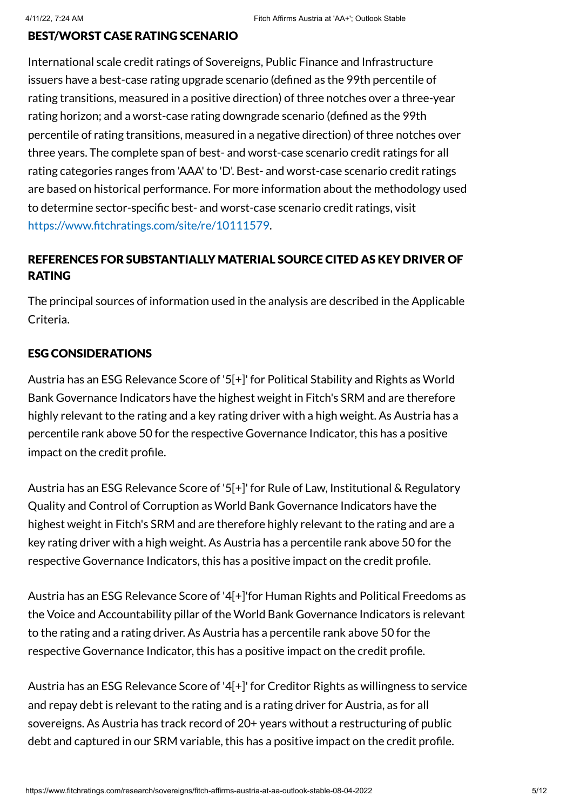#### BEST/WORST CASE RATING SCENARIO

International scale credit ratings of Sovereigns, Public Finance and Infrastructure issuers have a best-case rating upgrade scenario (defined as the 99th percentile of rating transitions, measured in a positive direction) of three notches over a three-year rating horizon; and a worst-case rating downgrade scenario (defined as the 99th percentile of rating transitions, measured in a negative direction) of three notches over three years. The complete span of best- and worst-case scenario credit ratings for all rating categories ranges from 'AAA' to 'D'. Best- and worst-case scenario credit ratings are based on historical performance. For more information about the methodology used to determine sector-specific best- and worst-case scenario credit ratings, visit https://www.fitchratings.com/site/re/10111579.

# REFERENCES FOR SUBSTANTIALLY MATERIAL SOURCE CITED AS KEY DRIVER OF RATING

The principal sources of information used in the analysis are described in the Applicable Criteria.

#### ESG CONSIDERATIONS

Austria has an ESG Relevance Score of '5[+]' for Political Stability and Rights as World Bank Governance Indicators have the highest weight in Fitch's SRM and are therefore highly relevant to the rating and a key rating driver with a high weight. As Austria has a percentile rank above 50 for the respective Governance Indicator, this has a positive impact on the credit profile.

Austria has an ESG Relevance Score of '5[+]' for Rule of Law, Institutional & Regulatory Quality and Control of Corruption as World Bank Governance Indicators have the highest weight in Fitch's SRM and are therefore highly relevant to the rating and are a key rating driver with a high weight. As Austria has a percentile rank above 50 for the respective Governance Indicators, this has a positive impact on the credit profile.

Austria has an ESG Relevance Score of '4[+]'for Human Rights and Political Freedoms as the Voice and Accountability pillar of the World Bank Governance Indicators is relevant to the rating and a rating driver. As Austria has a percentile rank above 50 for the respective Governance Indicator, this has a positive impact on the credit profile.

Austria has an ESG Relevance Score of '4[+]' for Creditor Rights as willingness to service and repay debt is relevant to the rating and is a rating driver for Austria, as for all sovereigns. As Austria has track record of 20+ years without a restructuring of public debt and captured in our SRM variable, this has a positive impact on the credit profile.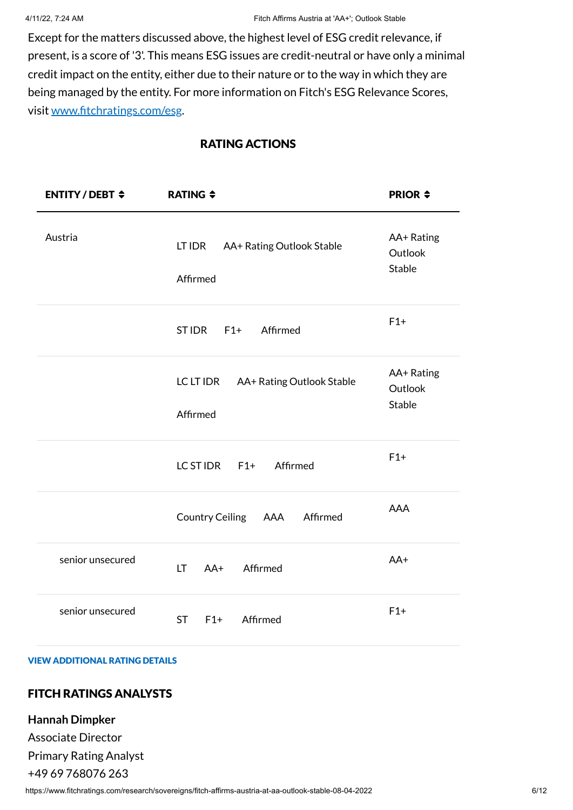Except for the matters discussed above, the highest level of ESG credit relevance, if present, is a score of '3'. This means ESG issues are credit-neutral or have only a minimal credit impact on the entity, either due to their nature or to the way in which they are being managed by the entity. For more information on Fitch's ESG Relevance Scores, visit www.fitchratings.com/esg.

## RATING ACTIONS

| <b>ENTITY/DEBT <math>\div</math></b> | <b>RATING <math>\div</math></b>                    | <b>PRIOR <math>\div</math></b>         |
|--------------------------------------|----------------------------------------------------|----------------------------------------|
| Austria                              | LT IDR<br>AA+ Rating Outlook Stable<br>Affirmed    | AA+ Rating<br>Outlook<br><b>Stable</b> |
|                                      | Affirmed<br><b>STIDR</b><br>$F1+$                  | $F1+$                                  |
|                                      | LC LT IDR<br>AA+ Rating Outlook Stable<br>Affirmed | AA+ Rating<br>Outlook<br><b>Stable</b> |
|                                      | LC ST IDR<br>Affirmed<br>$F1+$                     | $F1+$                                  |
|                                      | <b>Country Ceiling</b><br>AAA<br>Affirmed          | <b>AAA</b>                             |
| senior unsecured                     | <b>LT</b><br>$AA+$<br>Affirmed                     | AA+                                    |
| senior unsecured                     | Affirmed<br>$F1+$<br><b>ST</b>                     | $F1+$                                  |

#### VIEW ADDITIONAL RATING DETAILS

#### FITCH RATINGS ANALYSTS

#### **Hannah Dimpker**

Associate Director Primary Rating Analyst

#### +49 69 768076 263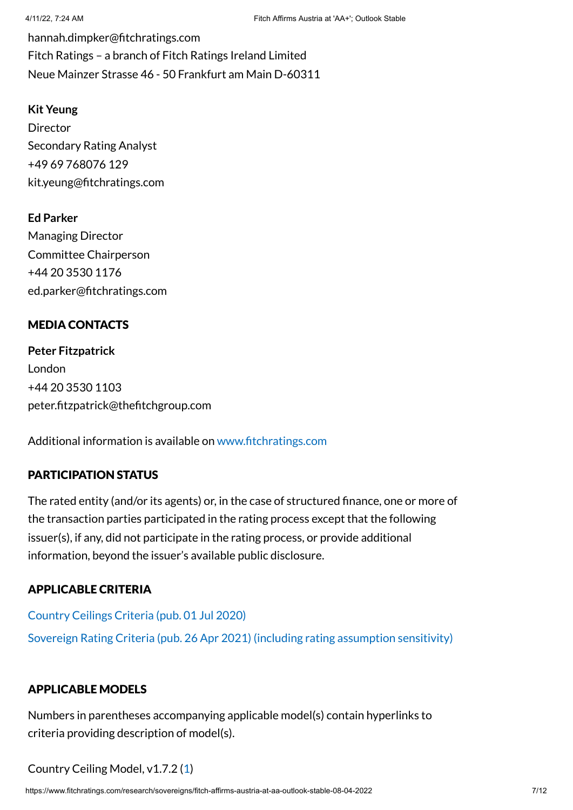hannah.dimpker@fitchratings.com Fitch Ratings – a branch of Fitch Ratings Ireland Limited Neue Mainzer Strasse 46 - 50 Frankfurt am Main D-60311

#### **Kit Yeung**

Director Secondary Rating Analyst +49 69 768076 129 kit.yeung@fitchratings.com

**Ed Parker** Managing Director Committee Chairperson +44 20 3530 1176 ed.parker@fitchratings.com

# MEDIA CONTACTS

**Peter Fitzpatrick** London +44 20 3530 1103 peter.fitzpatrick@thefitchgroup.com

Additional information is available on www.fitchratings.com

# PARTICIPATION STATUS

The rated entity (and/or its agents) or, in the case of structured finance, one or more of the transaction parties participated in the rating process except that the following issuer(s), if any, did not participate in the rating process, or provide additional information, beyond the issuer's available public disclosure.

# APPLICABLE CRITERIA

Country Ceilings Criteria (pub. 01 Jul 2020) Sovereign Rating Criteria (pub. 26 Apr 2021) (including rating assumption sensitivity)

# APPLICABLE MODELS

Numbers in parentheses accompanying applicable model(s) contain hyperlinks to criteria providing description of model(s).

Country Ceiling Model, v1.7.2 (1)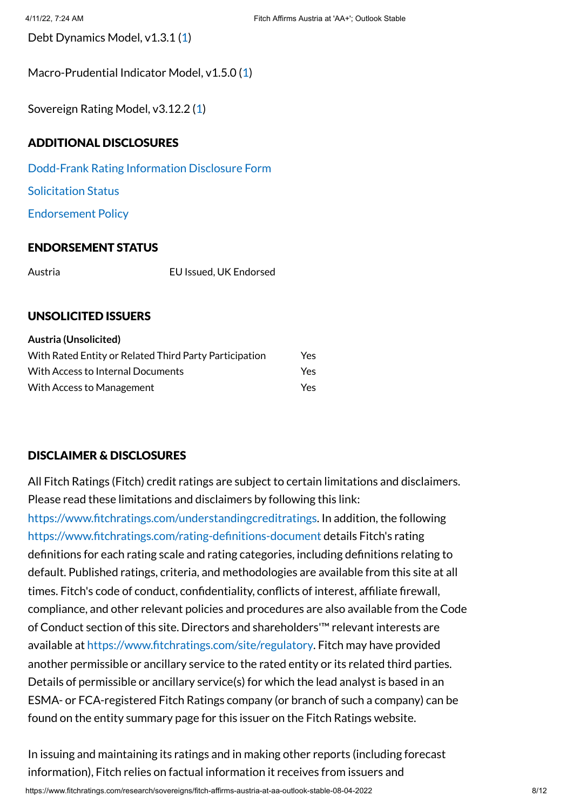Debt Dynamics Model, v1.3.1 (1)

Macro-Prudential Indicator Model, v1.5.0 (1)

Sovereign Rating Model, v3.12.2 (1)

## ADDITIONAL DISCLOSURES

Dodd-Frank Rating Information Disclosure Form

Solicitation Status

Endorsement Policy

#### ENDORSEMENT STATUS

Austria EU Issued, UK Endorsed

#### UNSOLICITED ISSUERS

| <b>Austria (Unsolicited)</b>                           |      |
|--------------------------------------------------------|------|
| With Rated Entity or Related Third Party Participation | Yes  |
| With Access to Internal Documents                      | Yes  |
| With Access to Management                              | Yes. |

# DISCLAIMER & DISCLOSURES

All Fitch Ratings (Fitch) credit ratings are subject to certain limitations and disclaimers. Please read these limitations and disclaimers by following this link:

https://www.fitchratings.com/understandingcreditratings. In addition, the following https://www.fitchratings.com/rating-definitions-document details Fitch's rating definitions for each rating scale and rating categories, including definitions relating to default. Published ratings, criteria, and methodologies are available from this site at all times. Fitch's code of conduct, confidentiality, conflicts of interest, affiliate firewall, compliance, and other relevant policies and procedures are also available from the Code of Conduct section of this site. Directors and shareholders'™ relevant interests are available at https://www.fitchratings.com/site/regulatory. Fitch may have provided another permissible or ancillary service to the rated entity or its related third parties. Details of permissible or ancillary service(s) for which the lead analyst is based in an ESMA- or FCA-registered Fitch Ratings company (or branch of such a company) can be found on the entity summary page for this issuer on the Fitch Ratings website.

In issuing and maintaining its ratings and in making other reports (including forecast information), Fitch relies on factual information it receives from issuers and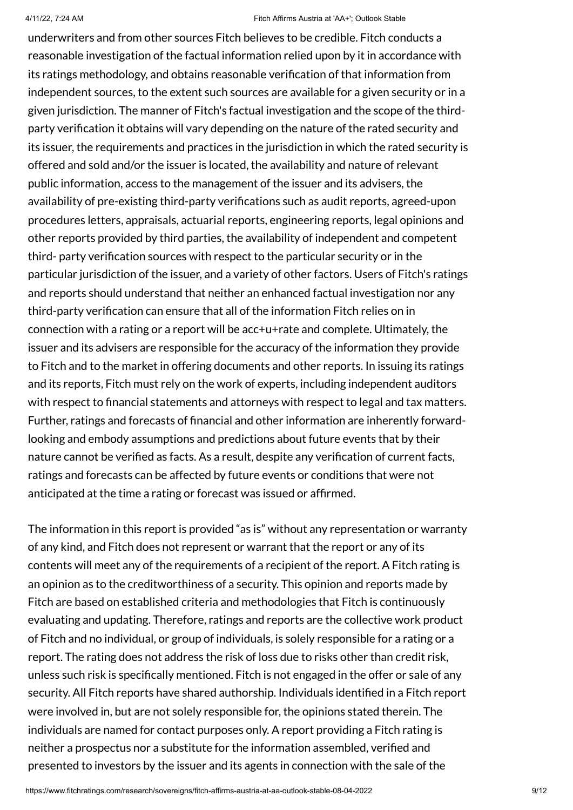underwriters and from other sources Fitch believes to be credible. Fitch conducts a reasonable investigation of the factual information relied upon by it in accordance with its ratings methodology, and obtains reasonable verification of that information from independent sources, to the extent such sources are available for a given security or in a given jurisdiction. The manner of Fitch's factual investigation and the scope of the thirdparty verification it obtains will vary depending on the nature of the rated security and its issuer, the requirements and practices in the jurisdiction in which the rated security is offered and sold and/or the issuer is located, the availability and nature of relevant public information, access to the management of the issuer and its advisers, the availability of pre-existing third-party verifications such as audit reports, agreed-upon procedures letters, appraisals, actuarial reports, engineering reports, legal opinions and other reports provided by third parties, the availability of independent and competent third- party verification sources with respect to the particular security or in the particular jurisdiction of the issuer, and a variety of other factors. Users of Fitch's ratings and reports should understand that neither an enhanced factual investigation nor any third-party verification can ensure that all of the information Fitch relies on in connection with a rating or a report will be acc+u+rate and complete. Ultimately, the issuer and its advisers are responsible for the accuracy of the information they provide to Fitch and to the market in offering documents and other reports. In issuing its ratings and its reports, Fitch must rely on the work of experts, including independent auditors with respect to financial statements and attorneys with respect to legal and tax matters. Further, ratings and forecasts of financial and other information are inherently forwardlooking and embody assumptions and predictions about future events that by their nature cannot be verified as facts. As a result, despite any verification of current facts, ratings and forecasts can be affected by future events or conditions that were not anticipated at the time a rating or forecast was issued or affirmed.

The information in this report is provided "as is" without any representation or warranty of any kind, and Fitch does not represent or warrant that the report or any of its contents will meet any of the requirements of a recipient of the report. A Fitch rating is an opinion as to the creditworthiness of a security. This opinion and reports made by Fitch are based on established criteria and methodologies that Fitch is continuously evaluating and updating. Therefore, ratings and reports are the collective work product of Fitch and no individual, or group of individuals, is solely responsible for a rating or a report. The rating does not address the risk of loss due to risks other than credit risk, unless such risk is specifically mentioned. Fitch is not engaged in the offer or sale of any security. All Fitch reports have shared authorship. Individuals identified in a Fitch report were involved in, but are not solely responsible for, the opinions stated therein. The individuals are named for contact purposes only. A report providing a Fitch rating is neither a prospectus nor a substitute for the information assembled, verified and presented to investors by the issuer and its agents in connection with the sale of the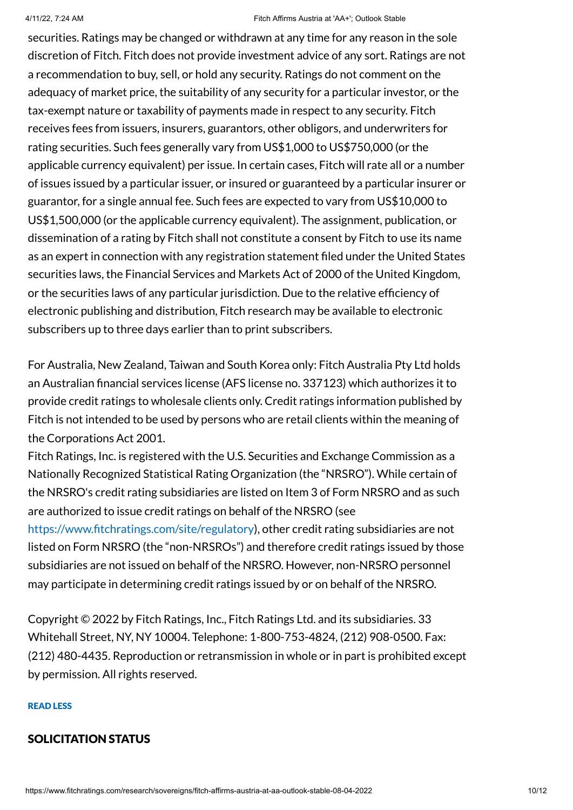securities. Ratings may be changed or withdrawn at any time for any reason in the sole discretion of Fitch. Fitch does not provide investment advice of any sort. Ratings are not a recommendation to buy, sell, or hold any security. Ratings do not comment on the adequacy of market price, the suitability of any security for a particular investor, or the tax-exempt nature or taxability of payments made in respect to any security. Fitch receives fees from issuers, insurers, guarantors, other obligors, and underwriters for rating securities. Such fees generally vary from US\$1,000 to US\$750,000 (or the applicable currency equivalent) per issue. In certain cases, Fitch will rate all or a number of issues issued by a particular issuer, or insured or guaranteed by a particular insurer or guarantor, for a single annual fee. Such fees are expected to vary from US\$10,000 to US\$1,500,000 (or the applicable currency equivalent). The assignment, publication, or dissemination of a rating by Fitch shall not constitute a consent by Fitch to use its name as an expert in connection with any registration statement filed under the United States securities laws, the Financial Services and Markets Act of 2000 of the United Kingdom, or the securities laws of any particular jurisdiction. Due to the relative efficiency of electronic publishing and distribution, Fitch research may be available to electronic subscribers up to three days earlier than to print subscribers.

For Australia, New Zealand, Taiwan and South Korea only: Fitch Australia Pty Ltd holds an Australian financial services license (AFS license no. 337123) which authorizes it to provide credit ratings to wholesale clients only. Credit ratings information published by Fitch is not intended to be used by persons who are retail clients within the meaning of the Corporations Act 2001.

Fitch Ratings, Inc. is registered with the U.S. Securities and Exchange Commission as a Nationally Recognized Statistical Rating Organization (the "NRSRO"). While certain of the NRSRO's credit rating subsidiaries are listed on Item 3 of Form NRSRO and as such are authorized to issue credit ratings on behalf of the NRSRO (see https://www.fitchratings.com/site/regulatory), other credit rating subsidiaries are not listed on Form NRSRO (the "non-NRSROs") and therefore credit ratings issued by those subsidiaries are not issued on behalf of the NRSRO. However, non-NRSRO personnel may participate in determining credit ratings issued by or on behalf of the NRSRO.

Copyright © 2022 by Fitch Ratings, Inc., Fitch Ratings Ltd. and its subsidiaries. 33 Whitehall Street, NY, NY 10004. Telephone: 1-800-753-4824, (212) 908-0500. Fax: (212) 480-4435. Reproduction or retransmission in whole or in part is prohibited except by permission. All rights reserved.

#### READ LESS

#### SOLICITATION STATUS